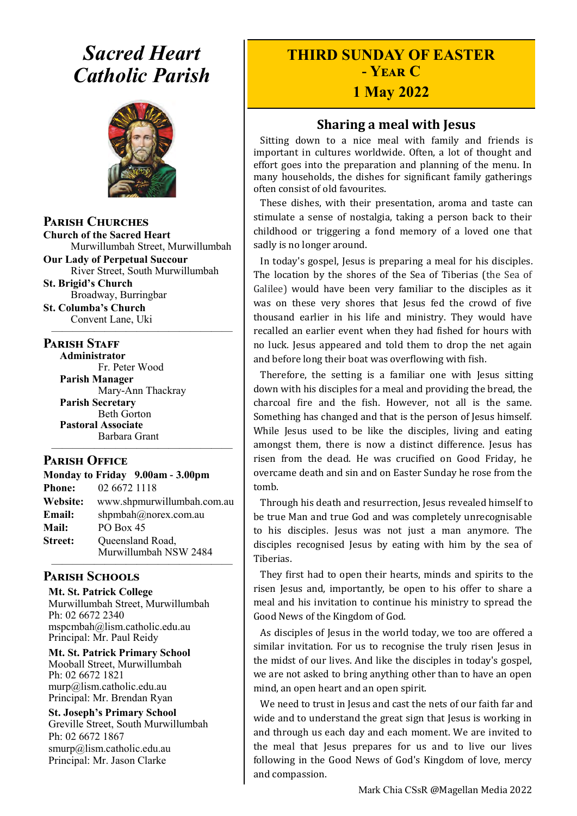# *Sacred Heart Catholic Parish*



**Parish Churches**

**Church of the Sacred Heart** Murwillumbah Street, Murwillumbah

**Our Lady of Perpetual Succour** River Street, South Murwillumbah **St. Brigid's Church**

Broadway, Burringbar **St. Columba's Church**

Convent Lane, Uki —————————————————

#### **PARISH STAFF**

**Administrator** Fr. Peter Wood **Parish Manager** Mary-Ann Thackray **Parish Secretary** Beth Gorton **Pastoral Associate** Barbara Grant —————————————————

#### **Parish Office**

**Monday to Friday 9.00am - 3.00pm Phone:** 02 6672 1118 **Website:** www.shpmurwillumbah.com.au **Email:** shpmbah@norex.com.au **Mail:** PO Box 45 **Street:** Oueensland Road, Murwillumbah NSW 2484

#### ————————————————— **Parish Schools**

**Mt. St. Patrick College** Murwillumbah Street, Murwillumbah Ph: 02 6672 2340 mspcmbah@lism.catholic.edu.au Principal: Mr. Paul Reidy

**Mt. St. Patrick Primary School** Mooball Street, Murwillumbah Ph: 02 6672 1821 murp@lism.catholic.edu.au Principal: Mr. Brendan Ryan

**St. Joseph's Primary School** Greville Street, South Murwillumbah Ph: 02 6672 1867 smurp@lism.catholic.edu.au Principal: Mr. Jason Clarke

# **THIRD SUNDAY OF EASTER - Year C**

# **1 May 2022**

## **Sharing a meal with Jesus**

Sitting down to a nice meal with family and friends is important in cultures worldwide. Often, a lot of thought and effort goes into the preparation and planning of the menu. In many households, the dishes for significant family gatherings often consist of old favourites.

These dishes, with their presentation, aroma and taste can stimulate a sense of nostalgia, taking a person back to their childhood or triggering a fond memory of a loved one that sadly is no longer around.

In today's gospel, Jesus is preparing a meal for his disciples. The location by the shores of the Sea of Tiberias (the Sea of Galilee) would have been very familiar to the disciples as it was on these very shores that Jesus fed the crowd of five thousand earlier in his life and ministry. They would have recalled an earlier event when they had fished for hours with no luck. Jesus appeared and told them to drop the net again and before long their boat was overflowing with fish.

Therefore, the setting is a familiar one with Jesus sitting down with his disciples for a meal and providing the bread, the charcoal fire and the fish. However, not all is the same. Something has changed and that is the person of Jesus himself. While Jesus used to be like the disciples, living and eating amongst them, there is now a distinct difference. Jesus has risen from the dead. He was crucified on Good Friday, he overcame death and sin and on Easter Sunday he rose from the tomb.

Through his death and resurrection, Jesus revealed himself to be true Man and true God and was completely unrecognisable to his disciples. Jesus was not just a man anymore. The disciples recognised Jesus by eating with him by the sea of Tiberias.

They first had to open their hearts, minds and spirits to the risen Jesus and, importantly, be open to his offer to share a meal and his invitation to continue his ministry to spread the Good News of the Kingdom of God.

As disciples of Jesus in the world today, we too are offered a similar invitation. For us to recognise the truly risen Jesus in the midst of our lives. And like the disciples in today's gospel, we are not asked to bring anything other than to have an open mind, an open heart and an open spirit.

We need to trust in Jesus and cast the nets of our faith far and wide and to understand the great sign that Jesus is working in and through us each day and each moment. We are invited to the meal that Jesus prepares for us and to live our lives following in the Good News of God's Kingdom of love, mercy and compassion.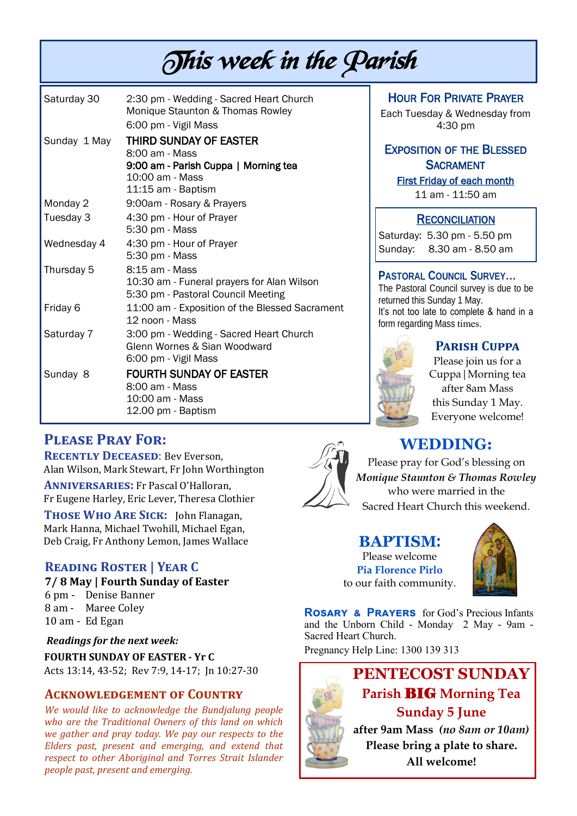# This week in the Parish

| Saturday 30  | 2:30 pm - Wedding - Sacred Heart Church<br>Monique Staunton & Thomas Rowley<br>6:00 pm - Vigil Mass                       |
|--------------|---------------------------------------------------------------------------------------------------------------------------|
| Sunday 1 May | THIRD SUNDAY OF EASTER<br>8:00 am - Mass<br>9:00 am - Parish Cuppa   Morning tea<br>10:00 am - Mass<br>11:15 am - Baptism |
| Monday 2     | 9:00am - Rosary & Prayers                                                                                                 |
| Tuesday 3    | 4:30 pm - Hour of Prayer<br>5:30 pm - Mass                                                                                |
| Wednesday 4  | 4:30 pm - Hour of Prayer<br>5:30 pm - Mass                                                                                |
| Thursday 5   | 8:15 am - Mass<br>10:30 am - Funeral prayers for Alan Wilson<br>5:30 pm - Pastoral Council Meeting                        |
| Friday 6     | 11:00 am - Exposition of the Blessed Sacrament<br>12 noon - Mass                                                          |
| Saturday 7   | 3:00 pm - Wedding - Sacred Heart Church<br>Glenn Wornes & Sian Woodward<br>6:00 pm - Vigil Mass                           |
| Sunday 8     | <b>FOURTH SUNDAY OF EASTER</b><br>8:00 am - Mass<br>10:00 am - Mass<br>12.00 pm - Baptism                                 |

# **Please Pray For:**

**Recently Deceased**: Bev Everson, Alan Wilson, Mark Stewart, Fr John Worthington

**Anniversaries:** Fr Pascal O'Halloran, Fr Eugene Harley, Eric Lever, Theresa Clothier

**Those Who Are Sick:** John Flanagan, Mark Hanna, Michael Twohill, Michael Egan, Deb Craig, Fr Anthony Lemon, James Wallace

# **Reading Roster | Year C**

**7/ 8 May | Fourth Sunday of Easter** 

- 6 pm Denise Banner 8 am - Maree Coley
- 10 am Ed Egan

#### *Readings for the next week:*

**FOURTH SUNDAY OF EASTER - Yr C** Acts 13:14, 43-52; Rev 7:9, 14-17; Jn 10:27-30

## **Acknowledgement of Country**

*We would like to acknowledge the Bundjalung people who are the Traditional Owners of this land on which we gather and pray today. We pay our respects to the Elders past, present and emerging, and extend that respect to other Aboriginal and Torres Strait Islander people past, present and emerging.* 

HOUR FOR PRIVATE PRAYER

Each Tuesday & Wednesday from 4:30 pm

## EXPOSITION OF THE BLESSED **SACRAMENT**

#### First Friday of each month

11 am - 11:50 am

#### **RECONCILIATION**

Saturday: 5.30 pm - 5.50 pm Sunday: 8.30 am - 8.50 am

#### **PASTORAL COUNCIL SURVEY…**

The Pastoral Council survey is due to be returned this Sunday 1 May. It's not too late to complete & hand in a form regarding Mass times.



# **Parish Cuppa**

Please join us for a Cuppa|Morning tea after 8am Mass this Sunday 1 May. Everyone welcome!

# **WEDDING:**



Please pray for God's blessing on *Monique Staunton & Thomas Rowley* who were married in the Sacred Heart Church this weekend.

# **BAPTISM**:

Please welcome **Pia Florence Pirlo** to our faith community.



**Rosary & Prayers** for God's Precious Infants and the Unborn Child - Monday 2 May - 9am - Sacred Heart Church.

Pregnancy Help Line: 1300 139 313

# **PENTECOST SUNDAY Parish** BIG **Morning Tea Sunday 5 June after 9am Mass** *(no 8am or 10am)* **Please bring a plate to share. All welcome!**

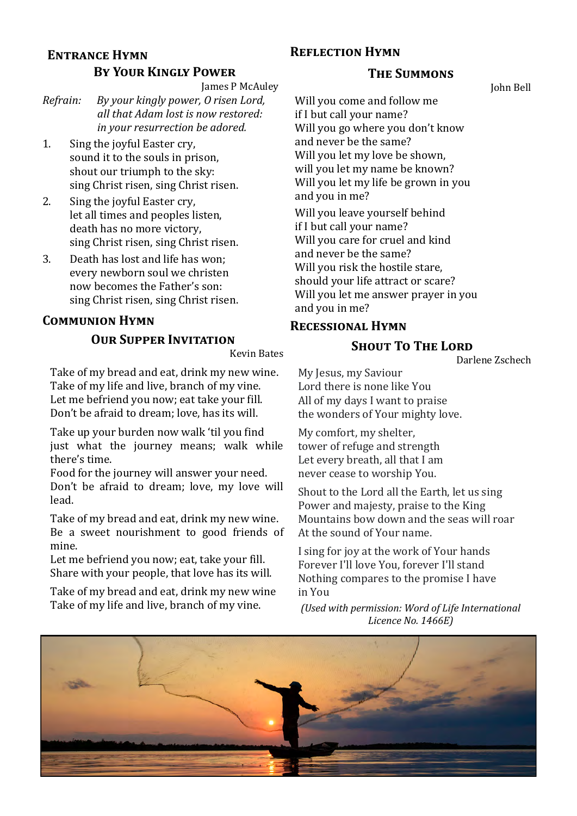# **Entrance Hymn By Your Kingly Power**

James P McAuley *Refrain: By your kingly power, O risen Lord, all that Adam lost is now restored: in your resurrection be adored.* 

- 1. Sing the joyful Easter cry, sound it to the souls in prison, shout our triumph to the sky: sing Christ risen, sing Christ risen.
- 2. Sing the joyful Easter cry, let all times and peoples listen, death has no more victory, sing Christ risen, sing Christ risen.
- 3. Death has lost and life has won; every newborn soul we christen now becomes the Father's son: sing Christ risen, sing Christ risen.

## **Communion Hymn**

# **OUR SUPPER INVITATION**

Kevin Bates

Take of my bread and eat, drink my new wine. Take of my life and live, branch of my vine. Let me befriend you now; eat take your fill. Don't be afraid to dream; love, has its will.

Take up your burden now walk 'til you find just what the journey means; walk while there's time.

Food for the journey will answer your need. Don't be afraid to dream; love, my love will lead.

Take of my bread and eat, drink my new wine. Be a sweet nourishment to good friends of mine.

Let me befriend you now; eat, take your fill. Share with your people, that love has its will.

Take of my bread and eat, drink my new wine Take of my life and live, branch of my vine.

#### **Reflection Hymn**

#### **The Summons**

Will you come and follow me if I but call your name? Will you go where you don't know and never be the same? Will you let my love be shown, will you let my name be known? Will you let my life be grown in you and you in me?

Will you leave yourself behind if I but call your name? Will you care for cruel and kind and never be the same? Will you risk the hostile stare, should your life attract or scare? Will you let me answer prayer in you and you in me?

## **Recessional Hymn**

# **Shout To The Lord**

Darlene Zschech

My Jesus, my Saviour Lord there is none like You All of my days I want to praise the wonders of Your mighty love.

My comfort, my shelter, tower of refuge and strength Let every breath, all that I am never cease to worship You.

Shout to the Lord all the Earth, let us sing Power and majesty, praise to the King Mountains bow down and the seas will roar At the sound of Your name.

I sing for joy at the work of Your hands Forever I'll love You, forever I'll stand Nothing compares to the promise I have in You

*(Used with permission: Word of Life International Licence No. 1466E)*



John Bell